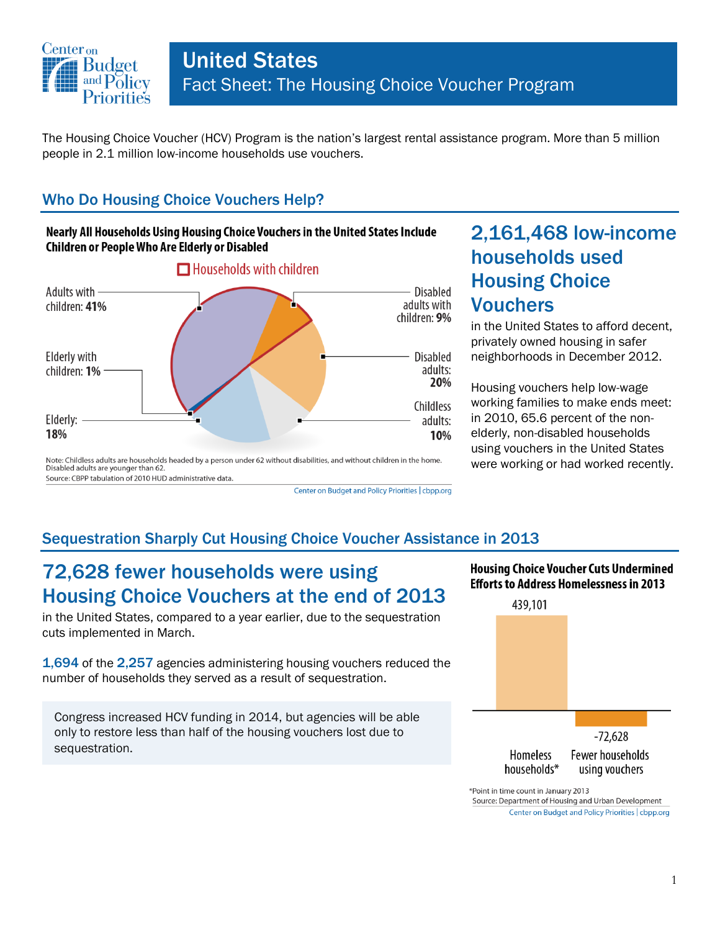

Center on Budget and Policy Priorities | cbpp.org

The Housing Choice Voucher (HCV) Program is the nation's largest rental assistance program. More than 5 million people in 2.1 million low-income households use vouchers.

### Who Do Housing Choice Vouchers Help?

#### Nearly All Households Using Housing Choice Vouchers in the United States Include Children or People Who Are Elderly or Disabled



# 2,161,468 low-income households used Housing Choice Vouchers

in the United States to afford decent, privately owned housing in safer neighborhoods in December 2012.

Housing vouchers help low-wage working families to make ends meet: in 2010, 65.6 percent of the nonelderly, non-disabled households using vouchers in the United States were working or had worked recently.

## Sequestration Sharply Cut Housing Choice Voucher Assistance in 2013

## 72,628 fewer households were using Housing Choice Vouchers at the end of 2013

in the United States, compared to a year earlier, due to the sequestration cuts implemented in March.

1,694 of the 2,257 agencies administering housing vouchers reduced the number of households they served as a result of sequestration.

Congress increased HCV funding in 2014, but agencies will be able only to restore less than half of the housing vouchers lost due to sequestration.

#### **Housing Choice Voucher Cuts Undermined Efforts to Address Homelessness in 2013**



\*Point in time count in January 2013 Source: Department of Housing and Urban Development Center on Budget and Policy Priorities | cbpp.org